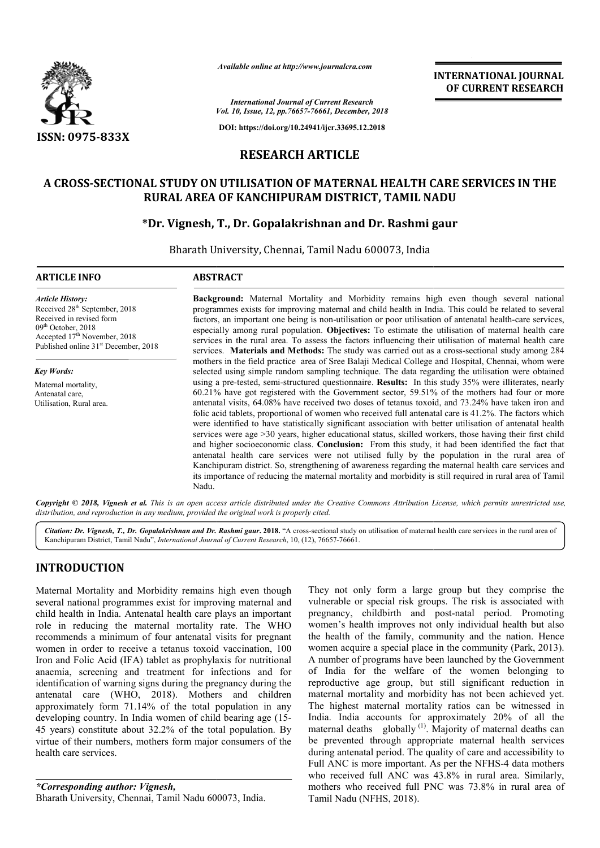

*Available online at http://www.journalcra.com*

*Vol. 10, Issue, 12, pp. pp.76657-76661, December, 2018 International Journal of Current Research*

**DOI: https://doi.org/10.24941/ijcr.33695.12.2018**

# **RESEARCH ARTICLE**

# A CROSS-SECTIONAL STUDY ON UTILISATION OF MATERNAL HEALTH CARE SERVICES IN THE<br>RURAL AREA OF KANCHIPURAM DISTRICT, TAMIL NADU<br>PDr. Vignesh, T., Dr. Gopalakrishnan and Dr. Rashmi gaur\* **RURAL AREA OF KANCHIPURAM DISTRICT, TAMIL NADU**

## **\*Dr. Vignesh,**

Bharath University University, Chennai, Tamil Nadu 600073, India

#### **ARTICLE INFO ABSTRACT**

*Article History:* Received 28<sup>th</sup> September, 2018 Received in revised form 09<sup>th</sup> October, 2018 Accepted 17<sup>th</sup> November, 2018 Published online 31<sup>st</sup> December, 2018

*Key Words:* Maternal mortality, Antenatal care, Utilisation, Rural area.

**Background:** Maternal Mortality and Morbidity remains high even though several national programmes exists for improving maternal and child health in India. This could be related to several factors, an important one being is non-utilisation or poor utilisation of anten especially among rural population. **Objectives:** To estimate the utilisation of maternal health care especially among rural population. **Objectives:** To estimate the utilisation of maternal health care services in the rural area. To assess the factors influencing their utilisation of maternal health care services. Materials and Methods: The study was carried out as a cross-sectional study among 284 mothers in the field practice area of Sree Balaji Medical College and Hospital, Chennai, whom were mothers in the field practice area of Sree Balaji Medical College and Hospital, Chennai, whom were selected using simple random sampling technique. The data regarding the utilisation were obtained using a pre-tested, semi-structured questionnaire. **Results:** In this study 35% were illiterates, nearly 60.21% have got registered with the Government sector, 59.51% of the mothers had four or more antenatal visits, 64.08% have received two d doses of tetanus toxoid, and 73.24% have taken iron and folic acid tablets, proportional of women who received full antenatal care is 41.2%. The factors which were identified to have statistically significant association with better utilisation of antenatal health services were age >30 years, higher educational status, skilled workers, those having their first child and higher socioeconomic class. **Conclusion:** From this study, it had been identified the fact that antenatal health care services were not utilised fully by the population in the rural area of Kanchipuram district. So, strengthening of awareness regarding the maternal health care services and its importance of reducing the maternal mortality and morbidity is still required in rural area of Ta Nadu. Background: Maternal Mortality and Morbidity remains high even though several national programmes exists for improving maternal and child health in India. This could be related to several factors, an important one being is using a pre-tested, semi-structured questionnaire. **Results:** In this study 35% were illiterates, nearly 60.21% have got registered with the Government sector, 59.51% of the mothers had four or more antenatal visits, 64.08 services were age >30 years, higher educational status, skilled workers, those having their first child and higher socioeconomic class. **Conclusion:** From this study, it had been identified the fact that antenatal health c

Copyright © 2018, Vignesh et al. This is an open access article distributed under the Creative Commons Attribution License, which permits unrestricted use, *distribution, and reproduction in any medium, provided the original work is properly cited.*

Citation: Dr. Vignesh, T., Dr. Gopalakrishnan and Dr. Rashmi gaur. 2018. "A cross-sectional study on utilisation of maternal health care services in the rural area of Kanchipuram District, Tamil Nadu", *International Journal of Current Research*, 10, (12), 76657-76661.

# **INTRODUCTION**

Maternal Mortality and Morbidity remains high even though several national programmes exist for improving maternal and child health in India. Antenatal health care plays an important role in reducing the maternal mortality rate. The WHO recommends a minimum of four antenatal visits for pregnant women in order to receive a tetanus toxoid vaccination, 100 Iron and Folic Acid (IFA) tablet as prophylaxis for nutritional anaemia, screening and treatment for infections and for identification of warning signs during the pregnancy during the antenatal care (WHO, 2018). Mothers and children approximately form 71.14% of the total population in any approximately form 71.14% of the total population in any developing country. In India women of child bearing age (15-45 years) constitute about 32.2% of the total population. By virtue of their numbers, mothers form major consumers of the health care services.

*\*Corresponding author: Vignesh,* Bharath University, Chennai, Tamil Nadu 600073, India. They not only form a large group but they comprise the vulnerable or special risk groups. The risk is associated with pregnancy, childbirth and post-natal period. Promoting women's health improves not only individual health but also the health of the family, community and the nation. Hence women's health improves not only individual health but also<br>the health of the family, community and the nation. Hence<br>women acquire a special place in the community (Park, 2013). A number of programs have been launched by the Government of India for the welfare of the women belonging to reproductive age group, but still significant reduction in maternal mortality and morbidity has not been achieved yet. The highest maternal mortality ratios can be witnessed in India. India accounts for approximately 20% of all the maternal deaths globally  $(1)$ . Majority of maternal deaths can be prevented through appropriate maternal health services during antenatal period. The quality of care and accessibility to maternal deaths globally <sup>(1)</sup>. Majority of maternal deaths can<br>be prevented through appropriate maternal health services<br>during antenatal period. The quality of care and accessibility to<br>Full ANC is more important. As per who received full ANC was 43.8% in rural area. Similarly, mothers who received full PNC was 73.8% in rural area of Tamil Nadu (NFHS, 2018). not only form a large group but they comprise the able or special risk groups. The risk is associated with mey, childbirth and post-natal period. Promoting A number of programs have been launched by the Government<br>of India for the welfare of the women belonging to<br>reproductive age group, but still significant reduction in<br>maternal mortality and morbidity has not been achieved **INTERNATIONAL JOURNAL**<br>
or **CURRENT RESEARCH**<br>
c.7.2018<br>
c.7.2018<br>
c.7.2018<br>
2018<br>
2018<br>
2018<br>
2018<br> **AL HEALTH CARE SERVICES IN THE**<br>
CT, TAMIL NADU<br>
Dr. Rashmi gaur<br>
6000073, India<br>
india, this could be related to seve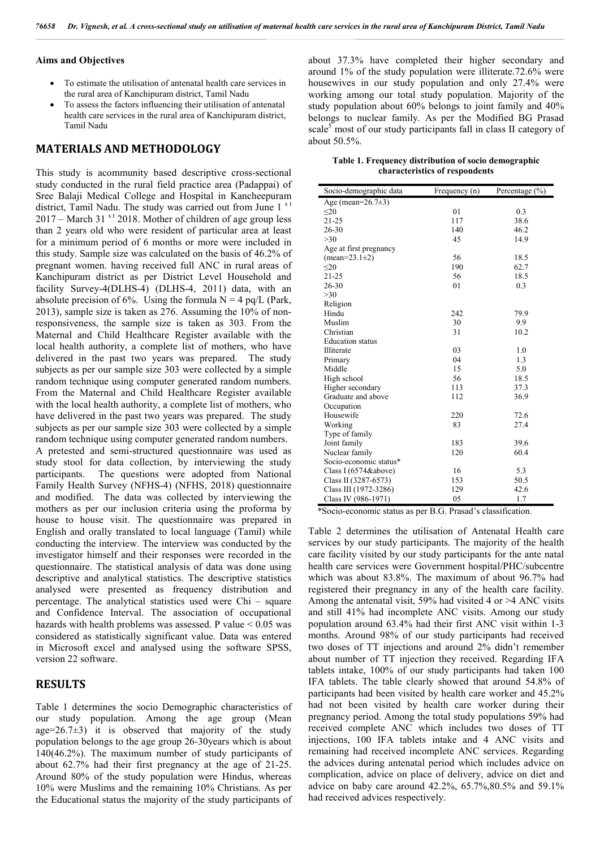#### **Aims and Objectives**

- To estimate the utilisation of antenatal health care services in the rural area of Kanchipuram district, Tamil Nadu
- To assess the factors influencing their utilisation of antenatal health care services in the rural area of Kanchipuram district, Tamil Nadu

#### **MATERIALS AND METHODOLOGY**

This study is acommunity based descriptive cross-sectional study conducted in the rural field practice area (Padappai) of Sree Balaji Medical College and Hospital in Kancheepuram district, Tamil Nadu. The study was carried out from June 1<sup>st</sup>  $2017$  – March 31<sup>st</sup> 2018. Mother of children of age group less than 2 years old who were resident of particular area at least for a minimum period of 6 months or more were included in this study. Sample size was calculated on the basis of 46.2% of pregnant women. having received full ANC in rural areas of Kanchipuram district as per District Level Household and facility Survey-4(DLHS-4) (DLHS-4, 2011) data, with an absolute precision of 6%. Using the formula  $N = 4$  pq/L (Park, 2013), sample size is taken as 276. Assuming the 10% of nonresponsiveness, the sample size is taken as 303. From the Maternal and Child Healthcare Register available with the local health authority, a complete list of mothers, who have delivered in the past two years was prepared. The study subjects as per our sample size 303 were collected by a simple random technique using computer generated random numbers. From the Maternal and Child Healthcare Register available with the local health authority, a complete list of mothers, who have delivered in the past two years was prepared. The study subjects as per our sample size 303 were collected by a simple random technique using computer generated random numbers. A pretested and semi-structured questionnaire was used as study stool for data collection, by interviewing the study participants. The questions were adopted from National Family Health Survey (NFHS-4) (NFHS, 2018) questionnaire and modified. The data was collected by interviewing the mothers as per our inclusion criteria using the proforma by house to house visit. The questionnaire was prepared in English and orally translated to local language (Tamil) while conducting the interview. The interview was conducted by the investigator himself and their responses were recorded in the questionnaire. The statistical analysis of data was done using descriptive and analytical statistics. The descriptive statistics analysed were presented as frequency distribution and percentage. The analytical statistics used were Chi – square and Confidence Interval. The association of occupational hazards with health problems was assessed. P value  $\leq 0.05$  was considered as statistically significant value. Data was entered in Microsoft excel and analysed using the software SPSS, version 22 software.

#### **RESULTS**

Table 1 determines the socio Demographic characteristics of our study population. Among the age group (Mean age= $26.7\pm3$ ) it is observed that majority of the study population belongs to the age group 26-30years which is about 140(46.2%). The maximum number of study participants of about 62.7% had their first pregnancy at the age of 21-25. Around 80% of the study population were Hindus, whereas 10% were Muslims and the remaining 10% Christians. As per the Educational status the majority of the study participants of about 37.3% have completed their higher secondary and around 1% of the study population were illiterate.72.6% were housewives in our study population and only 27.4% were working among our total study population. Majority of the study population about 60% belongs to joint family and 40% belongs to nuclear family. As per the Modified BG Prasad scale<sup>5</sup> most of our study participants fall in class II category of about 50.5%.

**Table 1. Frequency distribution of socio demographic characteristics of respondents**

| Socio-demographic data  | Frequency (n)<br>Percentage $(\% )$ |      |
|-------------------------|-------------------------------------|------|
| Age (mean= $26.7\pm3$ ) |                                     |      |
| $\leq$ 20               | 01                                  | 0.3  |
| $21 - 25$               | 117                                 | 38.6 |
| 26-30                   | 140                                 | 46.2 |
| >30                     | 45                                  | 14.9 |
| Age at first pregnancy  |                                     |      |
| $mean=23.1\pm2)$        | 56                                  | 18.5 |
| $20$                    | 190                                 | 62.7 |
| $21 - 25$               | 56                                  | 18.5 |
| $26 - 30$               | 01                                  | 0.3  |
| >30                     |                                     |      |
| Religion                |                                     |      |
| Hindu                   | 242                                 | 79.9 |
| Muslim                  | 30                                  | 9.9  |
| Christian               | 31                                  | 10.2 |
| <b>Education</b> status |                                     |      |
| Illiterate              | 03                                  | 1.0  |
| Primary                 | 04                                  | 1.3  |
| Middle                  | 15                                  | 5.0  |
| High school             | 56                                  | 18.5 |
| Higher secondary        | 113                                 | 37.3 |
| Graduate and above      | 112                                 | 36.9 |
| Occupation              |                                     |      |
| Housewife               | 220                                 | 72.6 |
| Working                 | 83                                  | 27.4 |
| Type of family          |                                     |      |
| Joint family            | 183                                 | 39.6 |
| Nuclear family          | 120                                 | 60.4 |
| Socio-economic status*  |                                     |      |
| Class I (6574&above)    | 16                                  | 5.3  |
| Class II (3287-6573)    | 153                                 | 50.5 |
| Class III (1972-3286)   | 129                                 | 42.6 |
| Class IV (986-1971)     | 05                                  | 1.7  |

\*Socio-economic status as per B.G. Prasad's classification.

Table 2 determines the utilisation of Antenatal Health care services by our study participants. The majority of the health care facility visited by our study participants for the ante natal health care services were Government hospital/PHC/subcentre which was about 83.8%. The maximum of about 96.7% had registered their pregnancy in any of the health care facility. Among the antenatal visit, 59% had visited 4 or >4 ANC visits and still 41% had incomplete ANC visits. Among our study population around 63.4% had their first ANC visit within 1-3 months. Around 98% of our study participants had received two doses of TT injections and around 2% didn't remember about number of TT injection they received. Regarding IFA tablets intake, 100% of our study participants had taken 100 IFA tablets. The table clearly showed that around 54.8% of participants had been visited by health care worker and 45.2% had not been visited by health care worker during their pregnancy period. Among the total study populations 59% had received complete ANC which includes two doses of TT injections, 100 IFA tablets intake and 4 ANC visits and remaining had received incomplete ANC services. Regarding the advices during antenatal period which includes advice on complication, advice on place of delivery, advice on diet and advice on baby care around 42.2%, 65.7%,80.5% and 59.1% had received advices respectively.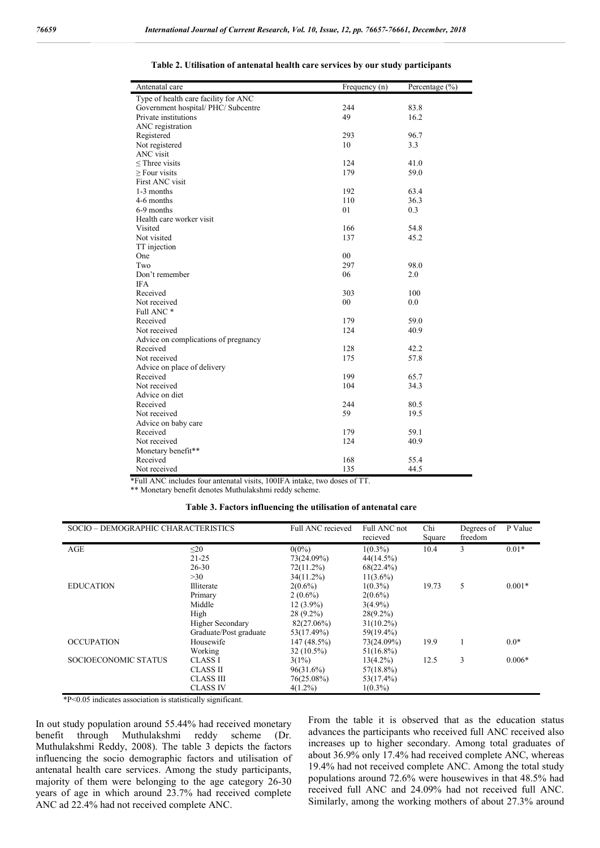| Type of health care facility for ANC<br>Government hospital/ PHC/ Subcentre<br>244<br>83.8<br>Private institutions<br>49<br>16.2<br>ANC registration<br>Registered<br>293<br>96.7<br>Not registered<br>10<br>3.3<br>ANC visit<br>$\leq$ Three visits<br>124<br>41.0<br>179<br>$\geq$ Four visits<br>59.0<br>First ANC visit<br>192<br>63.4<br>1-3 months<br>110<br>36.3<br>4-6 months<br>6-9 months<br>01<br>0.3<br>Health care worker visit<br>166<br>Visited<br>54.8<br>137<br>45.2<br>Not visited<br>TT injection<br>00<br>One<br>Two<br>297<br>98.0<br>Don't remember<br>06<br>2.0<br><b>IFA</b><br>303<br>100<br>Received<br>Not received<br>00<br>0.0<br>Full ANC*<br>179<br>59.0<br>Received<br>Not received<br>124<br>40.9<br>Advice on complications of pregnancy<br>Received<br>128<br>42.2<br>Not received<br>175<br>57.8<br>Advice on place of delivery<br>199<br>Received<br>65.7<br>Not received<br>104<br>34.3<br>Advice on diet<br>Received<br>244<br>80.5<br>59<br>Not received<br>19.5<br>Advice on baby care<br>Received<br>59.1<br>179<br>Not received<br>124<br>40.9<br>Monetary benefit**<br>Received<br>168<br>55.4<br>135<br>Not received<br>44.5 | Antenatal care | Frequency (n) | Percentage $(\% )$ |
|---------------------------------------------------------------------------------------------------------------------------------------------------------------------------------------------------------------------------------------------------------------------------------------------------------------------------------------------------------------------------------------------------------------------------------------------------------------------------------------------------------------------------------------------------------------------------------------------------------------------------------------------------------------------------------------------------------------------------------------------------------------------------------------------------------------------------------------------------------------------------------------------------------------------------------------------------------------------------------------------------------------------------------------------------------------------------------------------------------------------------------------------------------------------------|----------------|---------------|--------------------|
|                                                                                                                                                                                                                                                                                                                                                                                                                                                                                                                                                                                                                                                                                                                                                                                                                                                                                                                                                                                                                                                                                                                                                                           |                |               |                    |
|                                                                                                                                                                                                                                                                                                                                                                                                                                                                                                                                                                                                                                                                                                                                                                                                                                                                                                                                                                                                                                                                                                                                                                           |                |               |                    |
|                                                                                                                                                                                                                                                                                                                                                                                                                                                                                                                                                                                                                                                                                                                                                                                                                                                                                                                                                                                                                                                                                                                                                                           |                |               |                    |
|                                                                                                                                                                                                                                                                                                                                                                                                                                                                                                                                                                                                                                                                                                                                                                                                                                                                                                                                                                                                                                                                                                                                                                           |                |               |                    |
|                                                                                                                                                                                                                                                                                                                                                                                                                                                                                                                                                                                                                                                                                                                                                                                                                                                                                                                                                                                                                                                                                                                                                                           |                |               |                    |
|                                                                                                                                                                                                                                                                                                                                                                                                                                                                                                                                                                                                                                                                                                                                                                                                                                                                                                                                                                                                                                                                                                                                                                           |                |               |                    |
|                                                                                                                                                                                                                                                                                                                                                                                                                                                                                                                                                                                                                                                                                                                                                                                                                                                                                                                                                                                                                                                                                                                                                                           |                |               |                    |
|                                                                                                                                                                                                                                                                                                                                                                                                                                                                                                                                                                                                                                                                                                                                                                                                                                                                                                                                                                                                                                                                                                                                                                           |                |               |                    |
|                                                                                                                                                                                                                                                                                                                                                                                                                                                                                                                                                                                                                                                                                                                                                                                                                                                                                                                                                                                                                                                                                                                                                                           |                |               |                    |
|                                                                                                                                                                                                                                                                                                                                                                                                                                                                                                                                                                                                                                                                                                                                                                                                                                                                                                                                                                                                                                                                                                                                                                           |                |               |                    |
|                                                                                                                                                                                                                                                                                                                                                                                                                                                                                                                                                                                                                                                                                                                                                                                                                                                                                                                                                                                                                                                                                                                                                                           |                |               |                    |
|                                                                                                                                                                                                                                                                                                                                                                                                                                                                                                                                                                                                                                                                                                                                                                                                                                                                                                                                                                                                                                                                                                                                                                           |                |               |                    |
|                                                                                                                                                                                                                                                                                                                                                                                                                                                                                                                                                                                                                                                                                                                                                                                                                                                                                                                                                                                                                                                                                                                                                                           |                |               |                    |
|                                                                                                                                                                                                                                                                                                                                                                                                                                                                                                                                                                                                                                                                                                                                                                                                                                                                                                                                                                                                                                                                                                                                                                           |                |               |                    |
|                                                                                                                                                                                                                                                                                                                                                                                                                                                                                                                                                                                                                                                                                                                                                                                                                                                                                                                                                                                                                                                                                                                                                                           |                |               |                    |
|                                                                                                                                                                                                                                                                                                                                                                                                                                                                                                                                                                                                                                                                                                                                                                                                                                                                                                                                                                                                                                                                                                                                                                           |                |               |                    |
|                                                                                                                                                                                                                                                                                                                                                                                                                                                                                                                                                                                                                                                                                                                                                                                                                                                                                                                                                                                                                                                                                                                                                                           |                |               |                    |
|                                                                                                                                                                                                                                                                                                                                                                                                                                                                                                                                                                                                                                                                                                                                                                                                                                                                                                                                                                                                                                                                                                                                                                           |                |               |                    |
|                                                                                                                                                                                                                                                                                                                                                                                                                                                                                                                                                                                                                                                                                                                                                                                                                                                                                                                                                                                                                                                                                                                                                                           |                |               |                    |
|                                                                                                                                                                                                                                                                                                                                                                                                                                                                                                                                                                                                                                                                                                                                                                                                                                                                                                                                                                                                                                                                                                                                                                           |                |               |                    |
|                                                                                                                                                                                                                                                                                                                                                                                                                                                                                                                                                                                                                                                                                                                                                                                                                                                                                                                                                                                                                                                                                                                                                                           |                |               |                    |
|                                                                                                                                                                                                                                                                                                                                                                                                                                                                                                                                                                                                                                                                                                                                                                                                                                                                                                                                                                                                                                                                                                                                                                           |                |               |                    |
|                                                                                                                                                                                                                                                                                                                                                                                                                                                                                                                                                                                                                                                                                                                                                                                                                                                                                                                                                                                                                                                                                                                                                                           |                |               |                    |
|                                                                                                                                                                                                                                                                                                                                                                                                                                                                                                                                                                                                                                                                                                                                                                                                                                                                                                                                                                                                                                                                                                                                                                           |                |               |                    |
|                                                                                                                                                                                                                                                                                                                                                                                                                                                                                                                                                                                                                                                                                                                                                                                                                                                                                                                                                                                                                                                                                                                                                                           |                |               |                    |
|                                                                                                                                                                                                                                                                                                                                                                                                                                                                                                                                                                                                                                                                                                                                                                                                                                                                                                                                                                                                                                                                                                                                                                           |                |               |                    |
|                                                                                                                                                                                                                                                                                                                                                                                                                                                                                                                                                                                                                                                                                                                                                                                                                                                                                                                                                                                                                                                                                                                                                                           |                |               |                    |
|                                                                                                                                                                                                                                                                                                                                                                                                                                                                                                                                                                                                                                                                                                                                                                                                                                                                                                                                                                                                                                                                                                                                                                           |                |               |                    |
|                                                                                                                                                                                                                                                                                                                                                                                                                                                                                                                                                                                                                                                                                                                                                                                                                                                                                                                                                                                                                                                                                                                                                                           |                |               |                    |
|                                                                                                                                                                                                                                                                                                                                                                                                                                                                                                                                                                                                                                                                                                                                                                                                                                                                                                                                                                                                                                                                                                                                                                           |                |               |                    |
|                                                                                                                                                                                                                                                                                                                                                                                                                                                                                                                                                                                                                                                                                                                                                                                                                                                                                                                                                                                                                                                                                                                                                                           |                |               |                    |
|                                                                                                                                                                                                                                                                                                                                                                                                                                                                                                                                                                                                                                                                                                                                                                                                                                                                                                                                                                                                                                                                                                                                                                           |                |               |                    |
|                                                                                                                                                                                                                                                                                                                                                                                                                                                                                                                                                                                                                                                                                                                                                                                                                                                                                                                                                                                                                                                                                                                                                                           |                |               |                    |
|                                                                                                                                                                                                                                                                                                                                                                                                                                                                                                                                                                                                                                                                                                                                                                                                                                                                                                                                                                                                                                                                                                                                                                           |                |               |                    |
|                                                                                                                                                                                                                                                                                                                                                                                                                                                                                                                                                                                                                                                                                                                                                                                                                                                                                                                                                                                                                                                                                                                                                                           |                |               |                    |
|                                                                                                                                                                                                                                                                                                                                                                                                                                                                                                                                                                                                                                                                                                                                                                                                                                                                                                                                                                                                                                                                                                                                                                           |                |               |                    |
|                                                                                                                                                                                                                                                                                                                                                                                                                                                                                                                                                                                                                                                                                                                                                                                                                                                                                                                                                                                                                                                                                                                                                                           |                |               |                    |
|                                                                                                                                                                                                                                                                                                                                                                                                                                                                                                                                                                                                                                                                                                                                                                                                                                                                                                                                                                                                                                                                                                                                                                           |                |               |                    |
|                                                                                                                                                                                                                                                                                                                                                                                                                                                                                                                                                                                                                                                                                                                                                                                                                                                                                                                                                                                                                                                                                                                                                                           |                |               |                    |
|                                                                                                                                                                                                                                                                                                                                                                                                                                                                                                                                                                                                                                                                                                                                                                                                                                                                                                                                                                                                                                                                                                                                                                           |                |               |                    |
|                                                                                                                                                                                                                                                                                                                                                                                                                                                                                                                                                                                                                                                                                                                                                                                                                                                                                                                                                                                                                                                                                                                                                                           |                |               |                    |

**Table 2. Utilisation of antenatal health care services by our study participants**

\*Full ANC includes four antenatal visits, 100IFA intake, two doses of TT.

\*\* Monetary benefit denotes Muthulakshmi reddy scheme.

#### **Table 3. Factors influencing the utilisation of antenatal care**

| SOCIO - DEMOGRAPHIC CHARACTERISTICS |                         | Full ANC recieved | Full ANC not<br>recieved | Chi<br>Square | Degrees of<br>freedom | P Value  |
|-------------------------------------|-------------------------|-------------------|--------------------------|---------------|-----------------------|----------|
| AGE                                 | $\leq$ 20               | $0(0\%)$          | $1(0.3\%)$               | 10.4          | 3                     | $0.01*$  |
|                                     | $21 - 25$               | 73(24.09%)        | 44(14.5%)                |               |                       |          |
|                                     | $26 - 30$               | $72(11.2\%)$      | $68(22.4\%)$             |               |                       |          |
|                                     | >30                     | $34(11.2\%)$      | $11(3.6\%)$              |               |                       |          |
| <b>EDUCATION</b>                    | Illiterate              | $2(0.6\%)$        | $1(0.3\%)$               | 19.73         | 5                     | $0.001*$ |
|                                     | Primary                 | $2(0.6\%)$        | $2(0.6\%)$               |               |                       |          |
|                                     | Middle                  | $12(3.9\%)$       | $3(4.9\%)$               |               |                       |          |
|                                     | High                    | $28(9.2\%)$       | $28(9.2\%)$              |               |                       |          |
|                                     | <b>Higher Secondary</b> | 82(27.06%)        | $31(10.2\%)$             |               |                       |          |
|                                     | Graduate/Post graduate  | 53(17.49%)        | 59(19.4%)                |               |                       |          |
| <b>OCCUPATION</b>                   | Housewife               | 147(48.5%)        | 73(24.09%)               | 19.9          |                       | $0.0*$   |
|                                     | Working                 | $32(10.5\%)$      | $51(16.8\%)$             |               |                       |          |
| SOCIOECONOMIC STATUS                | <b>CLASS I</b>          | $3(1\%)$          | $13(4.2\%)$              | 12.5          | 3                     | $0.006*$ |
|                                     | <b>CLASS II</b>         | 96(31.6%)         | $57(18.8\%)$             |               |                       |          |
|                                     | <b>CLASS III</b>        | 76(25.08%)        | $53(17.4\%)$             |               |                       |          |
|                                     | <b>CLASS IV</b>         | $4(1.2\%)$        | $1(0.3\%)$               |               |                       |          |

\*P<0.05 indicates association is statistically significant.

In out study population around 55.44% had received monetary benefit through Muthulakshmi reddy scheme (Dr. Muthulakshmi Reddy, 2008). The table 3 depicts the factors influencing the socio demographic factors and utilisation of antenatal health care services. Among the study participants, majority of them were belonging to the age category 26-30 years of age in which around 23.7% had received complete ANC ad 22.4% had not received complete ANC.

From the table it is observed that as the education status advances the participants who received full ANC received also increases up to higher secondary. Among total graduates of about 36.9% only 17.4% had received complete ANC, whereas 19.4% had not received complete ANC. Among the total study populations around 72.6% were housewives in that 48.5% had received full ANC and 24.09% had not received full ANC. Similarly, among the working mothers of about 27.3% around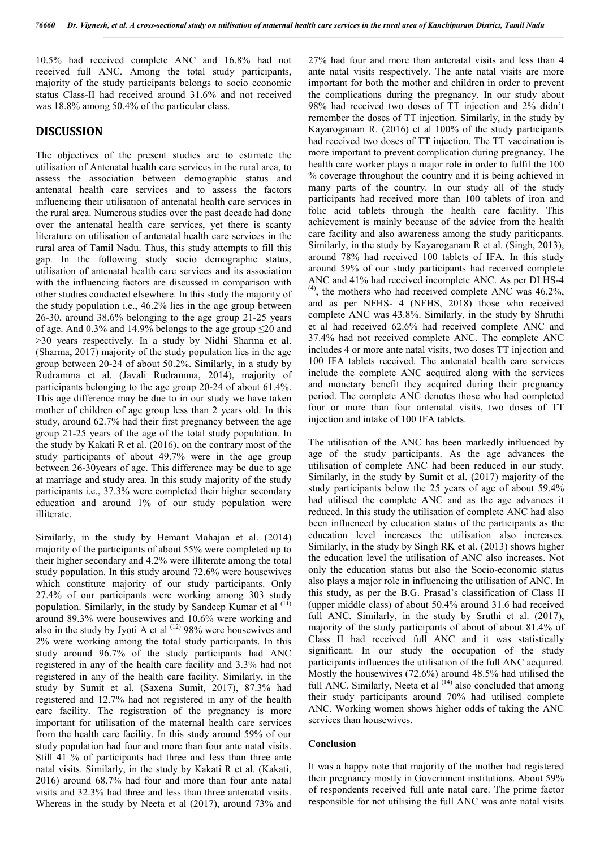10.5% had received complete ANC and 16.8% had not received full ANC. Among the total study participants, majority of the study participants belongs to socio economic status Class-II had received around 31.6% and not received was 18.8% among 50.4% of the particular class.

### **DISCUSSION**

The objectives of the present studies are to estimate the utilisation of Antenatal health care services in the rural area, to assess the association between demographic status and antenatal health care services and to assess the factors influencing their utilisation of antenatal health care services in the rural area. Numerous studies over the past decade had done over the antenatal health care services, yet there is scanty literature on utilisation of antenatal health care services in the rural area of Tamil Nadu. Thus, this study attempts to fill this gap. In the following study socio demographic status, utilisation of antenatal health care services and its association with the influencing factors are discussed in comparison with other studies conducted elsewhere. In this study the majority of the study population i.e., 46.2% lies in the age group between 26-30, around 38.6% belonging to the age group 21-25 years of age. And 0.3% and 14.9% belongs to the age group ≤20 and >30 years respectively. In a study by Nidhi Sharma et al. (Sharma, 2017) majority of the study population lies in the age group between 20-24 of about 50.2%. Similarly, in a study by Rudramma et al. (Javali Rudramma, 2014), majority of participants belonging to the age group 20-24 of about 61.4%. This age difference may be due to in our study we have taken mother of children of age group less than 2 years old. In this study, around 62.7% had their first pregnancy between the age group 21-25 years of the age of the total study population. In the study by Kakati R et al. (2016), on the contrary most of the study participants of about 49.7% were in the age group between 26-30years of age. This difference may be due to age at marriage and study area. In this study majority of the study participants i.e., 37.3% were completed their higher secondary education and around 1% of our study population were illiterate.

Similarly, in the study by Hemant Mahajan et al. (2014) majority of the participants of about 55% were completed up to their higher secondary and 4.2% were illiterate among the total study population. In this study around 72.6% were housewives which constitute majority of our study participants. Only 27.4% of our participants were working among 303 study population. Similarly, in the study by Sandeep Kumar et al <sup>(11)</sup> around 89.3% were housewives and 10.6% were working and also in the study by Jyoti A et al  $(12)$  98% were housewives and 2% were working among the total study participants. In this study around 96.7% of the study participants had ANC registered in any of the health care facility and 3.3% had not registered in any of the health care facility. Similarly, in the study by Sumit et al. (Saxena Sumit, 2017), 87.3% had registered and 12.7% had not registered in any of the health care facility. The registration of the pregnancy is more important for utilisation of the maternal health care services from the health care facility. In this study around 59% of our study population had four and more than four ante natal visits. Still 41 % of participants had three and less than three ante natal visits. Similarly, in the study by Kakati R et al. (Kakati, 2016) around 68.7% had four and more than four ante natal visits and 32.3% had three and less than three antenatal visits. Whereas in the study by Neeta et al (2017), around 73% and

27% had four and more than antenatal visits and less than 4 ante natal visits respectively. The ante natal visits are more important for both the mother and children in order to prevent the complications during the pregnancy. In our study about 98% had received two doses of TT injection and 2% didn't remember the doses of TT injection. Similarly, in the study by Kayaroganam R. (2016) et al 100% of the study participants had received two doses of TT injection. The TT vaccination is more important to prevent complication during pregnancy. The health care worker plays a major role in order to fulfil the 100 % coverage throughout the country and it is being achieved in many parts of the country. In our study all of the study participants had received more than 100 tablets of iron and folic acid tablets through the health care facility. This achievement is mainly because of the advice from the health care facility and also awareness among the study pariticpants. Similarly, in the study by Kayaroganam R et al. (Singh, 2013), around 78% had received 100 tablets of IFA. In this study around 59% of our study participants had received complete ANC and 41% had received incomplete ANC. As per DLHS-4  $(4)$ , the mothers who had received complete ANC was 46.2%, and as per NFHS- 4 (NFHS, 2018) those who received complete ANC was 43.8%. Similarly, in the study by Shruthi et al had received 62.6% had received complete ANC and 37.4% had not received complete ANC. The complete ANC includes 4 or more ante natal visits, two doses TT injection and 100 IFA tablets received. The antenatal health care services include the complete ANC acquired along with the services and monetary benefit they acquired during their pregnancy period. The complete ANC denotes those who had completed four or more than four antenatal visits, two doses of TT injection and intake of 100 IFA tablets.

The utilisation of the ANC has been markedly influenced by age of the study participants. As the age advances the utilisation of complete ANC had been reduced in our study. Similarly, in the study by Sumit et al. (2017) majority of the study participants below the 25 years of age of about 59.4% had utilised the complete ANC and as the age advances it reduced. In this study the utilisation of complete ANC had also been influenced by education status of the participants as the education level increases the utilisation also increases. Similarly, in the study by Singh RK et al. (2013) shows higher the education level the utilisation of ANC also increases. Not only the education status but also the Socio-economic status also plays a major role in influencing the utilisation of ANC. In this study, as per the B.G. Prasad's classification of Class II (upper middle class) of about 50.4% around 31.6 had received full ANC. Similarly, in the study by Sruthi et al. (2017), majority of the study participants of about of about 81.4% of Class II had received full ANC and it was statistically significant. In our study the occupation of the study participants influences the utilisation of the full ANC acquired. Mostly the housewives (72.6%) around 48.5% had utilised the full ANC. Similarly, Neeta et al  $(14)$  also concluded that among their study participants around 70% had utilised complete ANC. Working women shows higher odds of taking the ANC services than housewives.

#### **Conclusion**

It was a happy note that majority of the mother had registered their pregnancy mostly in Government institutions. About 59% of respondents received full ante natal care. The prime factor responsible for not utilising the full ANC was ante natal visits